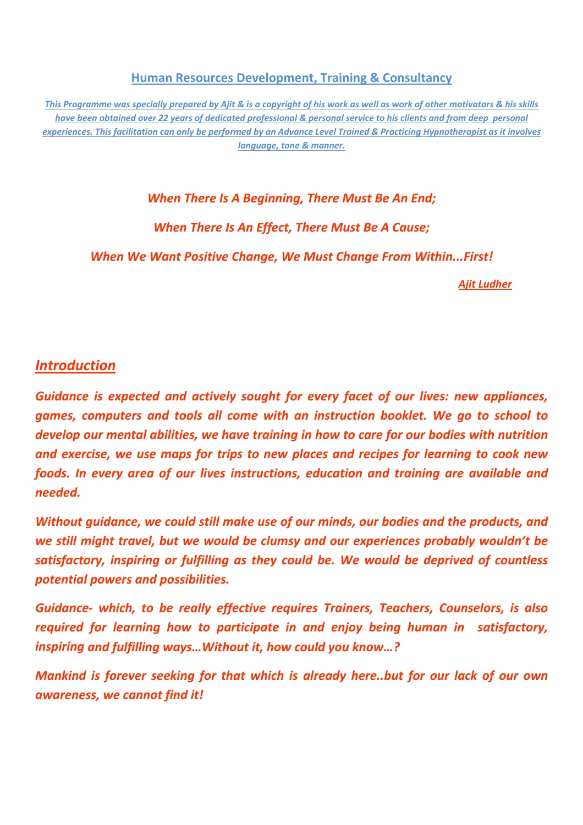**Human Resources Development, Training & Consultancy**

This Programme was specially prepared by Ajit & is a copyright of his work as well as work of other motivators & his skills have been obtained over 22 years of dedicated professional & personal service to his clients and from deep personal experiences. This facilitation can only be performed by an Advance Level Trained & Practicing Hypnotherapist as it involves *language, tone & manner.*

*When There Is A Beginning, There Must Be An End;*

*When There Is An Effect, There Must Be A Cause;*

*When We Want Positive Change, We Must Change From Within...First!*

 *Ajit Ludher*

## *Introduction*

*Guidance is expected and actively sought for every facet of our lives: new appliances, games, computers and tools all come with an instruction booklet. We go to school to develop our mental abilities, we have training in how to care for our bodies with nutrition and exercise, we use maps for trips to new places and recipes for learning to cook new foods. In every area of our lives instructions, education and training are available and needed.*

*Without guidance, we could still make use of our minds, our bodies and the products, and we still might travel, but we would be clumsy and our experiences probably wouldn't be satisfactory, inspiring or fulfilling as they could be. We would be deprived of countless potential powers and possibilities.*

*Guidance‐ which, to be really effective requires Trainers, Teachers, Counselors, is also required for learning how to participate in and enjoy being human in satisfactory, inspiring and fulfilling ways…Without it, how could you know…?* 

*Mankind is forever seeking for that which is already here..but for our lack of our own awareness, we cannot find it!*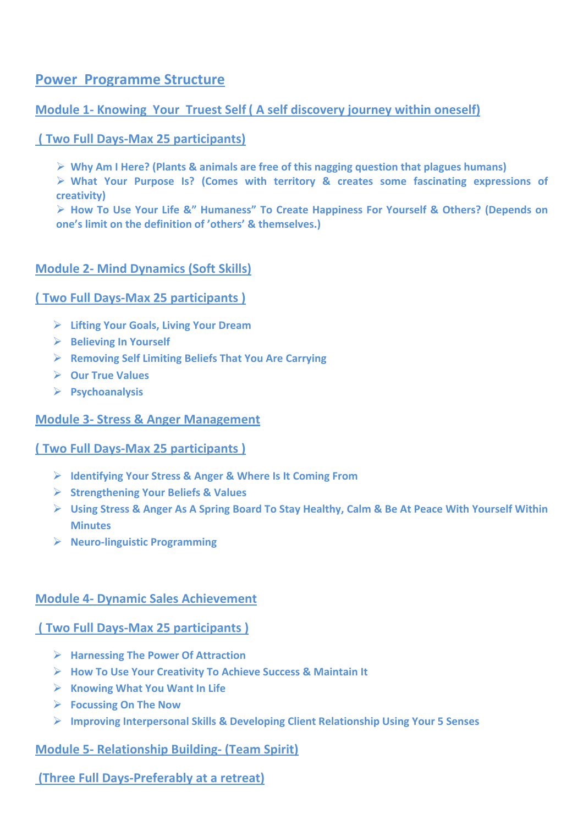## **Power** Programme Structure

## **Module 1‐ Knowing Your Truest Self ( A self discovery journey within oneself)**

### **( Two Full Days‐Max 25 participants)**

¾ **Why Am I Here? (Plants & animals are free of this nagging question that plagues humans)**

¾ **What Your Purpose Is? (Comes with territory & creates some fascinating expressions of creativity)**

¾ **How To Use Your Life &" Humaness" To Create Happiness For Yourself & Others? (Depends on one's limit on the definition of 'others' & themselves.)**

### **Module 2‐ Mind Dynamics (Soft Skills)**

#### **( Two Full Days‐Max 25 participants )**

- ¾ **Lifting Your Goals, Living Your Dream**
- ¾ **Believing In Yourself**
- ¾ **Removing Self Limiting Beliefs That You Are Carrying**
- ¾ **Our True Values**
- ¾ **Psychoanalysis**

#### **Module 3‐ Stress & Anger Management**

#### **( Two Full Days‐Max 25 participants )**

- ¾ **Identifying Your Stress & Anger & Where Is It Coming From**
- ¾ **Strengthening Your Beliefs & Values**
- > Using Stress & Anger As A Spring Board To Stay Healthy, Calm & Be At Peace With Yourself Within **Minutes**
- ¾ **Neuro‐linguistic Programming**

#### **Module 4‐ Dynamic Sales Achievement**

#### **( Two Full Days‐Max 25 participants )**

- ¾ **Harnessing The Power Of Attraction**
- ¾ **How To Use Your Creativity To Achieve Success & Maintain It**
- ¾ **Knowing What You Want In Life**
- ¾ **Focussing On The Now**
- ¾ **Improving Interpersonal Skills & Developing Client Relationship Using Your 5 Senses**

#### **Module 5‐ Relationship Building‐ (Team Spirit)**

## **(Three Full Days‐Preferably at a retreat)**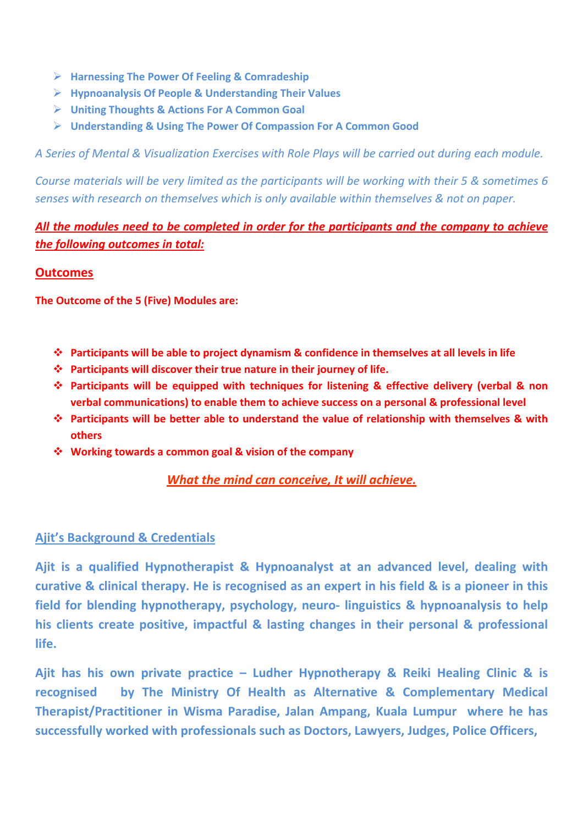- ¾ **Harnessing The Power Of Feeling & Comradeship**
- ¾ **Hypnoanalysis Of People & Understanding Their Values**
- ¾ **Uniting Thoughts & Actions For A Common Goal**
- ¾ **Understanding & Using The Power Of Compassion For A Common Good**

*A Series of Mental & Visualization Exercises with Role Plays will be carried out during each module.*

Course materials will be very limited as the participants will be working with their 5 & sometimes 6 *senses with research on themselves which is only available within themselves & not on paper.*

## *All the modules need to be completed in order for the participants and the company to achieve the following outcomes in total:*

### **Outcomes**

**The Outcome of the 5 (Five) Modules are:**

- **Participants will be able to project dynamism & confidence in themselves at all levels in life**
- **Participants will discover their true nature in their journey of life.**
- **Participants will be equipped with techniques for listening & effective delivery (verbal & non verbal communications) to enable them to achieve success on a personal & professional level**
- **Participants will be better able to understand the value of relationship with themselves & with others**
- **Working towards a common goal & vision of the company**

## *What the mind can conceive, It will achieve.*

## **Ajit's Background & Credentials**

**Ajit is a qualified Hypnotherapist & Hypnoanalyst at an advanced level, dealing with** curative & clinical therapy. He is recognised as an expert in his field & is a pioneer in this **field for blending hypnotherapy, psychology, neuro‐ linguistics & hypnoanalysis to help his clients create positive, impactful & lasting changes in their personal & professional life.**

**Ajit has his own private practice – Ludher Hypnotherapy & Reiki Healing Clinic & is recognised by The Ministry Of Health as Alternative & Complementary Medical Therapist/Practitioner in Wisma Paradise, Jalan Ampang, Kuala Lumpur where he has successfully worked with professionals such as Doctors, Lawyers, Judges, Police Officers,**